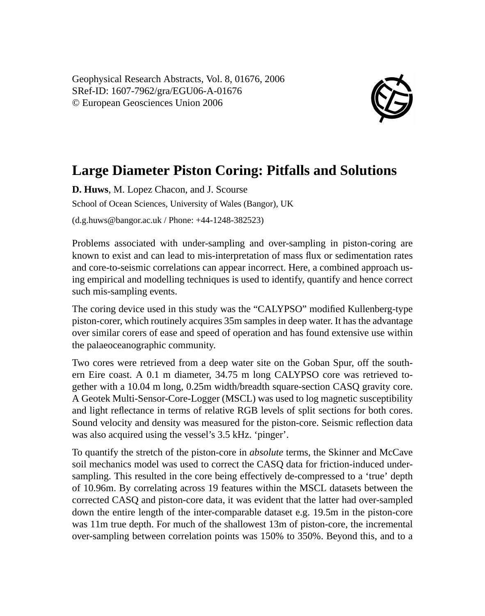Geophysical Research Abstracts, Vol. 8, 01676, 2006 SRef-ID: 1607-7962/gra/EGU06-A-01676 © European Geosciences Union 2006



## **Large Diameter Piston Coring: Pitfalls and Solutions**

**D. Huws**, M. Lopez Chacon, and J. Scourse School of Ocean Sciences, University of Wales (Bangor), UK (d.g.huws@bangor.ac.uk / Phone: +44-1248-382523)

Problems associated with under-sampling and over-sampling in piston-coring are known to exist and can lead to mis-interpretation of mass flux or sedimentation rates and core-to-seismic correlations can appear incorrect. Here, a combined approach using empirical and modelling techniques is used to identify, quantify and hence correct such mis-sampling events.

The coring device used in this study was the "CALYPSO" modified Kullenberg-type piston-corer, which routinely acquires 35m samples in deep water. It has the advantage over similar corers of ease and speed of operation and has found extensive use within the palaeoceanographic community.

Two cores were retrieved from a deep water site on the Goban Spur, off the southern Eire coast. A 0.1 m diameter, 34.75 m long CALYPSO core was retrieved together with a 10.04 m long, 0.25m width/breadth square-section CASQ gravity core. A Geotek Multi-Sensor-Core-Logger (MSCL) was used to log magnetic susceptibility and light reflectance in terms of relative RGB levels of split sections for both cores. Sound velocity and density was measured for the piston-core. Seismic reflection data was also acquired using the vessel's 3.5 kHz. 'pinger'.

To quantify the stretch of the piston-core in *absolute* terms, the Skinner and McCave soil mechanics model was used to correct the CASQ data for friction-induced undersampling. This resulted in the core being effectively de-compressed to a 'true' depth of 10.96m. By correlating across 19 features within the MSCL datasets between the corrected CASQ and piston-core data, it was evident that the latter had over-sampled down the entire length of the inter-comparable dataset e.g. 19.5m in the piston-core was 11m true depth. For much of the shallowest 13m of piston-core, the incremental over-sampling between correlation points was 150% to 350%. Beyond this, and to a